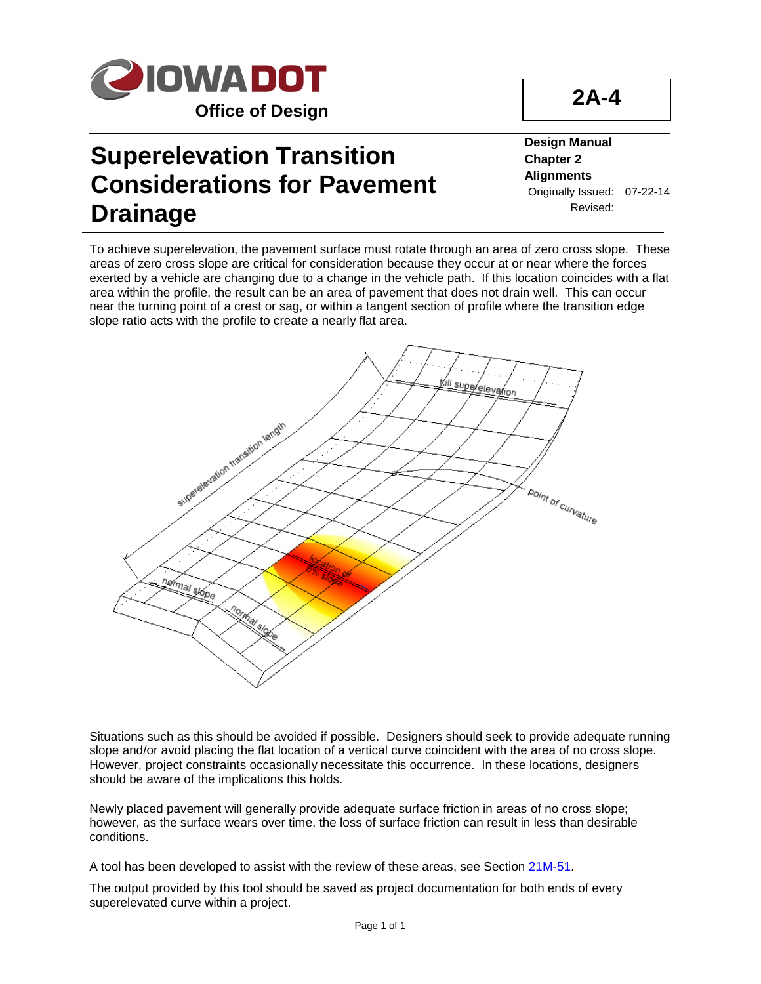

## **Superelevation Transition Considerations for Pavement Drainage**

**Design Manual Chapter 2 Alignments** Originally Issued: 07-22-14 Revised:

**2A-4**

To achieve superelevation, the pavement surface must rotate through an area of zero cross slope. These areas of zero cross slope are critical for consideration because they occur at or near where the forces exerted by a vehicle are changing due to a change in the vehicle path. If this location coincides with a flat area within the profile, the result can be an area of pavement that does not drain well. This can occur near the turning point of a crest or sag, or within a tangent section of profile where the transition edge slope ratio acts with the profile to create a nearly flat area.



Situations such as this should be avoided if possible. Designers should seek to provide adequate running slope and/or avoid placing the flat location of a vertical curve coincident with the area of no cross slope. However, project constraints occasionally necessitate this occurrence. In these locations, designers should be aware of the implications this holds.

Newly placed pavement will generally provide adequate surface friction in areas of no cross slope; however, as the surface wears over time, the loss of surface friction can result in less than desirable conditions.

A tool has been developed to assist with the review of these areas, see Section 21M-51.

The output provided by this tool should be saved as project documentation for both ends of every superelevated curve within a project.